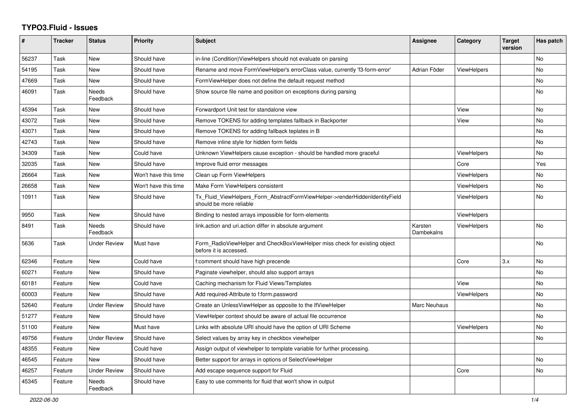## **TYPO3.Fluid - Issues**

| #     | <b>Tracker</b> | <b>Status</b>       | <b>Priority</b>      | <b>Subject</b>                                                                                         | Assignee              | Category           | <b>Target</b><br>version | Has patch |
|-------|----------------|---------------------|----------------------|--------------------------------------------------------------------------------------------------------|-----------------------|--------------------|--------------------------|-----------|
| 56237 | Task           | New                 | Should have          | in-line (Condition) ViewHelpers should not evaluate on parsing                                         |                       |                    |                          | <b>No</b> |
| 54195 | Task           | New                 | Should have          | Rename and move FormViewHelper's errorClass value, currently 'f3-form-error'                           | Adrian Föder          | <b>ViewHelpers</b> |                          | No        |
| 47669 | Task           | New                 | Should have          | FormViewHelper does not define the default request method                                              |                       |                    |                          | No        |
| 46091 | Task           | Needs<br>Feedback   | Should have          | Show source file name and position on exceptions during parsing                                        |                       |                    |                          | No        |
| 45394 | Task           | New                 | Should have          | Forwardport Unit test for standalone view                                                              |                       | View               |                          | No        |
| 43072 | Task           | New                 | Should have          | Remove TOKENS for adding templates fallback in Backporter                                              |                       | View               |                          | <b>No</b> |
| 43071 | Task           | New                 | Should have          | Remove TOKENS for adding fallback teplates in B                                                        |                       |                    |                          | <b>No</b> |
| 42743 | Task           | New                 | Should have          | Remove inline style for hidden form fields                                                             |                       |                    |                          | No.       |
| 34309 | Task           | New                 | Could have           | Unknown ViewHelpers cause exception - should be handled more graceful                                  |                       | ViewHelpers        |                          | No        |
| 32035 | Task           | New                 | Should have          | Improve fluid error messages                                                                           |                       | Core               |                          | Yes       |
| 26664 | Task           | New                 | Won't have this time | Clean up Form ViewHelpers                                                                              |                       | <b>ViewHelpers</b> |                          | <b>No</b> |
| 26658 | Task           | <b>New</b>          | Won't have this time | Make Form ViewHelpers consistent                                                                       |                       | <b>ViewHelpers</b> |                          | No        |
| 10911 | Task           | New                 | Should have          | Tx_Fluid_ViewHelpers_Form_AbstractFormViewHelper->renderHiddenIdentityField<br>should be more reliable |                       | ViewHelpers        |                          | No        |
| 9950  | Task           | New                 | Should have          | Binding to nested arrays impossible for form-elements                                                  |                       | ViewHelpers        |                          |           |
| 8491  | Task           | Needs<br>Feedback   | Should have          | link.action and uri.action differ in absolute argument                                                 | Karsten<br>Dambekalns | <b>ViewHelpers</b> |                          | <b>No</b> |
| 5636  | Task           | Under Review        | Must have            | Form_RadioViewHelper and CheckBoxViewHelper miss check for existing object<br>before it is accessed.   |                       |                    |                          | No        |
| 62346 | Feature        | New                 | Could have           | f:comment should have high precende                                                                    |                       | Core               | 3.x                      | <b>No</b> |
| 60271 | Feature        | New                 | Should have          | Paginate viewhelper, should also support arrays                                                        |                       |                    |                          | <b>No</b> |
| 60181 | Feature        | <b>New</b>          | Could have           | Caching mechanism for Fluid Views/Templates                                                            |                       | View               |                          | <b>No</b> |
| 60003 | Feature        | New                 | Should have          | Add required-Attribute to f:form.password                                                              |                       | ViewHelpers        |                          | No        |
| 52640 | Feature        | <b>Under Review</b> | Should have          | Create an UnlessViewHelper as opposite to the IfViewHelper                                             | Marc Neuhaus          |                    |                          | No        |
| 51277 | Feature        | New                 | Should have          | ViewHelper context should be aware of actual file occurrence                                           |                       |                    |                          | <b>No</b> |
| 51100 | Feature        | <b>New</b>          | Must have            | Links with absolute URI should have the option of URI Scheme                                           |                       | <b>ViewHelpers</b> |                          | No        |
| 49756 | Feature        | Under Review        | Should have          | Select values by array key in checkbox viewhelper                                                      |                       |                    |                          | No        |
| 48355 | Feature        | New                 | Could have           | Assign output of viewhelper to template variable for further processing.                               |                       |                    |                          |           |
| 46545 | Feature        | New                 | Should have          | Better support for arrays in options of SelectViewHelper                                               |                       |                    |                          | No        |
| 46257 | Feature        | <b>Under Review</b> | Should have          | Add escape sequence support for Fluid                                                                  |                       | Core               |                          | <b>No</b> |
| 45345 | Feature        | Needs<br>Feedback   | Should have          | Easy to use comments for fluid that won't show in output                                               |                       |                    |                          |           |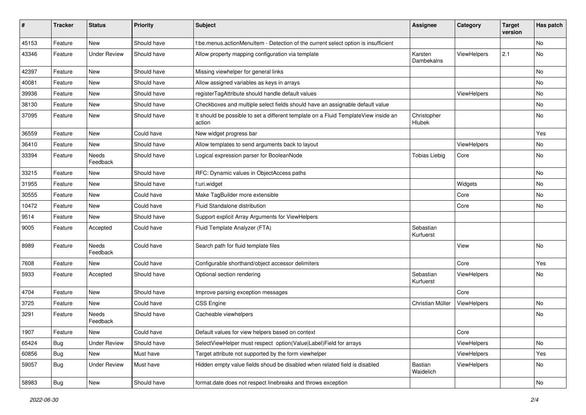| #     | <b>Tracker</b> | <b>Status</b>       | <b>Priority</b> | Subject                                                                                       | Assignee               | Category    | <b>Target</b><br>version | Has patch |
|-------|----------------|---------------------|-----------------|-----------------------------------------------------------------------------------------------|------------------------|-------------|--------------------------|-----------|
| 45153 | Feature        | New                 | Should have     | f:be.menus.actionMenuItem - Detection of the current select option is insufficient            |                        |             |                          | No        |
| 43346 | Feature        | <b>Under Review</b> | Should have     | Allow property mapping configuration via template                                             | Karsten<br>Dambekalns  | ViewHelpers | 2.1                      | No        |
| 42397 | Feature        | New                 | Should have     | Missing viewhelper for general links                                                          |                        |             |                          | <b>No</b> |
| 40081 | Feature        | New                 | Should have     | Allow assigned variables as keys in arrays                                                    |                        |             |                          | No        |
| 39936 | Feature        | New                 | Should have     | registerTagAttribute should handle default values                                             |                        | ViewHelpers |                          | No        |
| 38130 | Feature        | New                 | Should have     | Checkboxes and multiple select fields should have an assignable default value                 |                        |             |                          | No        |
| 37095 | Feature        | New                 | Should have     | It should be possible to set a different template on a Fluid TemplateView inside an<br>action | Christopher<br>Hlubek  |             |                          | No        |
| 36559 | Feature        | New                 | Could have      | New widget progress bar                                                                       |                        |             |                          | Yes       |
| 36410 | Feature        | New                 | Should have     | Allow templates to send arguments back to layout                                              |                        | ViewHelpers |                          | No        |
| 33394 | Feature        | Needs<br>Feedback   | Should have     | Logical expression parser for BooleanNode                                                     | <b>Tobias Liebig</b>   | Core        |                          | No        |
| 33215 | Feature        | New                 | Should have     | RFC: Dynamic values in ObjectAccess paths                                                     |                        |             |                          | No        |
| 31955 | Feature        | New                 | Should have     | f:uri.widget                                                                                  |                        | Widgets     |                          | No        |
| 30555 | Feature        | New                 | Could have      | Make TagBuilder more extensible                                                               |                        | Core        |                          | No        |
| 10472 | Feature        | New                 | Could have      | Fluid Standalone distribution                                                                 |                        | Core        |                          | No        |
| 9514  | Feature        | New                 | Should have     | Support explicit Array Arguments for ViewHelpers                                              |                        |             |                          |           |
| 9005  | Feature        | Accepted            | Could have      | Fluid Template Analyzer (FTA)                                                                 | Sebastian<br>Kurfuerst |             |                          |           |
| 8989  | Feature        | Needs<br>Feedback   | Could have      | Search path for fluid template files                                                          |                        | View        |                          | No        |
| 7608  | Feature        | New                 | Could have      | Configurable shorthand/object accessor delimiters                                             |                        | Core        |                          | Yes       |
| 5933  | Feature        | Accepted            | Should have     | Optional section rendering                                                                    | Sebastian<br>Kurfuerst | ViewHelpers |                          | No        |
| 4704  | Feature        | New                 | Should have     | Improve parsing exception messages                                                            |                        | Core        |                          |           |
| 3725  | Feature        | New                 | Could have      | <b>CSS Engine</b>                                                                             | Christian Müller       | ViewHelpers |                          | No        |
| 3291  | Feature        | Needs<br>Feedback   | Should have     | Cacheable viewhelpers                                                                         |                        |             |                          | No        |
| 1907  | Feature        | New                 | Could have      | Default values for view helpers based on context                                              |                        | Core        |                          |           |
| 65424 | <b>Bug</b>     | Under Review        | Should have     | SelectViewHelper must respect option(Value Label)Field for arrays                             |                        | ViewHelpers |                          | No        |
| 60856 | Bug            | New                 | Must have       | Target attribute not supported by the form viewhelper                                         |                        | ViewHelpers |                          | Yes       |
| 59057 | Bug            | <b>Under Review</b> | Must have       | Hidden empty value fields shoud be disabled when related field is disabled                    | Bastian<br>Waidelich   | ViewHelpers |                          | No        |
| 58983 | <b>Bug</b>     | New                 | Should have     | format.date does not respect linebreaks and throws exception                                  |                        |             |                          | No        |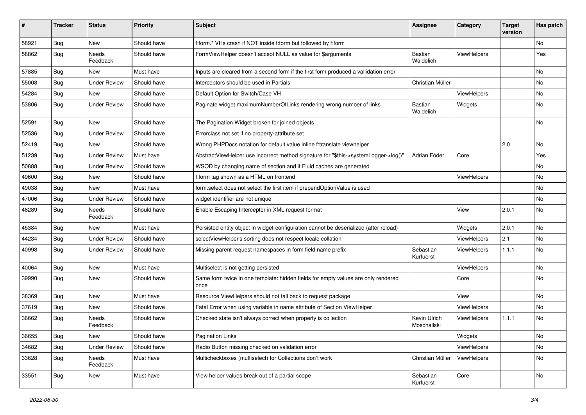| ∦     | <b>Tracker</b> | <b>Status</b>            | Priority    | Subject                                                                                   | <b>Assignee</b>             | Category           | <b>Target</b><br>version | Has patch |
|-------|----------------|--------------------------|-------------|-------------------------------------------------------------------------------------------|-----------------------------|--------------------|--------------------------|-----------|
| 58921 | Bug            | New                      | Should have | f:form.* VHs crash if NOT inside f:form but followed by f:form                            |                             |                    |                          | <b>No</b> |
| 58862 | Bug            | <b>Needs</b><br>Feedback | Should have | FormViewHelper doesn't accept NULL as value for \$arguments                               | Bastian<br>Waidelich        | <b>ViewHelpers</b> |                          | Yes       |
| 57885 | Bug            | <b>New</b>               | Must have   | Inputs are cleared from a second form if the first form produced a vallidation error      |                             |                    |                          | <b>No</b> |
| 55008 | Bug            | <b>Under Review</b>      | Should have | Interceptors should be used in Partials                                                   | Christian Müller            |                    |                          | No        |
| 54284 | Bug            | New                      | Should have | Default Option for Switch/Case VH                                                         |                             | ViewHelpers        |                          | No        |
| 53806 | Bug            | <b>Under Review</b>      | Should have | Paginate widget maximumNumberOfLinks rendering wrong number of links                      | Bastian<br>Waidelich        | Widgets            |                          | No        |
| 52591 | Bug            | <b>New</b>               | Should have | The Pagination Widget broken for joined objects                                           |                             |                    |                          | No        |
| 52536 | Bug            | <b>Under Review</b>      | Should have | Errorclass not set if no property-attribute set                                           |                             |                    |                          |           |
| 52419 | Bug            | New                      | Should have | Wrong PHPDocs notation for default value inline f:translate viewhelper                    |                             |                    | 2.0                      | No        |
| 51239 | Bug            | <b>Under Review</b>      | Must have   | AbstractViewHelper use incorrect method signature for "\$this->systemLogger->log()"       | Adrian Föder                | Core               |                          | Yes       |
| 50888 | Bug            | <b>Under Review</b>      | Should have | WSOD by changing name of section and if Fluid caches are generated                        |                             |                    |                          | No        |
| 49600 | Bug            | <b>New</b>               | Should have | f:form tag shown as a HTML on frontend                                                    |                             | ViewHelpers        |                          | <b>No</b> |
| 49038 | Bug            | New                      | Must have   | form select does not select the first item if prependOptionValue is used                  |                             |                    |                          | No        |
| 47006 | Bug            | <b>Under Review</b>      | Should have | widget identifier are not unique                                                          |                             |                    |                          | No        |
| 46289 | Bug            | <b>Needs</b><br>Feedback | Should have | Enable Escaping Interceptor in XML request format                                         |                             | View               | 2.0.1                    | <b>No</b> |
| 45384 | Bug            | New                      | Must have   | Persisted entity object in widget-configuration cannot be deserialized (after reload)     |                             | Widgets            | 2.0.1                    | <b>No</b> |
| 44234 | Bug            | <b>Under Review</b>      | Should have | selectViewHelper's sorting does not respect locale collation                              |                             | ViewHelpers        | 2.1                      | No        |
| 40998 | Bug            | <b>Under Review</b>      | Should have | Missing parent request namespaces in form field name prefix                               | Sebastian<br>Kurfuerst      | ViewHelpers        | 1.1.1                    | No        |
| 40064 | Bug            | New                      | Must have   | Multiselect is not getting persisted                                                      |                             | ViewHelpers        |                          | No        |
| 39990 | Bug            | New                      | Should have | Same form twice in one template: hidden fields for empty values are only rendered<br>once |                             | Core               |                          | No        |
| 38369 | Bug            | <b>New</b>               | Must have   | Resource ViewHelpers should not fall back to request package                              |                             | View               |                          | No        |
| 37619 | Bug            | New                      | Should have | Fatal Error when using variable in name attribute of Section ViewHelper                   |                             | ViewHelpers        |                          | No        |
| 36662 | <b>Bug</b>     | Needs<br>Feedback        | Should have | Checked state isn't always correct when property is collection                            | Kevin Ulrich<br>Moschallski | ViewHelpers        | 1.1.1                    | <b>No</b> |
| 36655 | <b>Bug</b>     | New                      | Should have | <b>Pagination Links</b>                                                                   |                             | Widgets            |                          | No        |
| 34682 | <b>Bug</b>     | <b>Under Review</b>      | Should have | Radio Button missing checked on validation error                                          |                             | ViewHelpers        |                          | No        |
| 33628 | <b>Bug</b>     | Needs<br>Feedback        | Must have   | Multicheckboxes (multiselect) for Collections don't work                                  | Christian Müller            | ViewHelpers        |                          | No        |
| 33551 | <b>Bug</b>     | New                      | Must have   | View helper values break out of a partial scope                                           | Sebastian<br>Kurfuerst      | Core               |                          | No        |